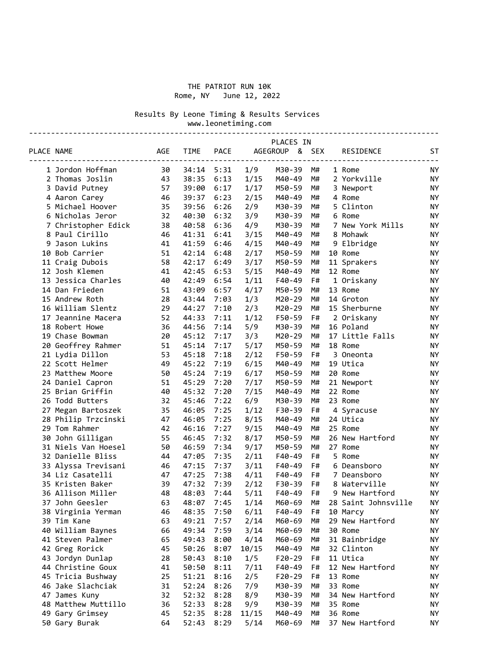### THE PATRIOT RUN 10K Rome, NY June 12, 2022

Results By Leone Timing & Results Services

 www.leonetiming.com ---------------------------------------------------------------------------------------------

|            |                     | PLACES IN  |             |             |       |                |    |  |                       |           |
|------------|---------------------|------------|-------------|-------------|-------|----------------|----|--|-----------------------|-----------|
| PLACE NAME |                     | <b>AGE</b> | <b>TIME</b> | <b>PACE</b> |       | AGEGROUP & SEX |    |  | RESIDENCE<br>-------- | ST        |
|            | 1 Jordon Hoffman    | 30         | 34:14       | 5:31        | 1/9   | M30-39         | M# |  | 1 Rome                | <b>NY</b> |
|            | 2 Thomas Joslin     | 43         | 38:35       | 6:13        | 1/15  | M40-49         | M# |  | 2 Yorkville           | NY.       |
|            | 3 David Putney      | 57         | 39:00       | 6:17        | 1/17  | M50-59         | M# |  | 3 Newport             | <b>NY</b> |
|            | 4 Aaron Carey       | 46         | 39:37       | 6:23        | 2/15  | M40-49         | M# |  | 4 Rome                | <b>NY</b> |
|            | 5 Michael Hoover    | 35         | 39:56       | 6:26        | 2/9   | M30-39         | M# |  | 5 Clinton             | ΝY        |
|            | 6 Nicholas Jeror    | 32         | 40:30       | 6:32        | 3/9   | M30-39         | M# |  | 6 Rome                | ΝY        |
|            | 7 Christopher Edick | 38         | 40:58       | 6:36        | 4/9   | M30-39         | M# |  | 7 New York Mills      | <b>NY</b> |
|            | 8 Paul Cirillo      | 46         | 41:31       | 6:41        | 3/15  | M40-49         | M# |  | 8 Mohawk              | <b>NY</b> |
|            | 9 Jason Lukins      | 41         | 41:59       | 6:46        | 4/15  | M40-49         | M# |  | 9 Elbridge            | ΝY        |
|            | 10 Bob Carrier      | 51         | 42:14       | 6:48        | 2/17  | M50-59         | M# |  | 10 Rome               | <b>NY</b> |
|            | 11 Craig Dubois     | 58         | 42:17       | 6:49        | 3/17  | M50-59         | M# |  | 11 Sprakers           | <b>NY</b> |
|            | 12 Josh Klemen      | 41         | 42:45       | 6:53        | 5/15  | M40-49         | M# |  | 12 Rome               | <b>NY</b> |
|            | 13 Jessica Charles  | 40         | 42:49       | 6:54        | 1/11  | F40-49         | F# |  | 1 Oriskany            | ΝY        |
|            | 14 Dan Frieden      | 51         | 43:09       | 6:57        | 4/17  | M50-59         | M# |  | 13 Rome               | <b>NY</b> |
|            | 15 Andrew Roth      | 28         | 43:44       | 7:03        | 1/3   | M20-29         | M# |  | 14 Groton             | <b>NY</b> |
|            | 16 William Slentz   | 29         | 44:27       | 7:10        | 2/3   | M20-29         | M# |  | 15 Sherburne          | <b>NY</b> |
|            | 17 Jeannine Macera  | 52         | 44:33       | 7:11        | 1/12  | F50-59         | F# |  | 2 Oriskany            | <b>NY</b> |
|            | 18 Robert Howe      | 36         | 44:56       | 7:14        | 5/9   | M30-39         | M# |  | 16 Poland             | <b>NY</b> |
|            | 19 Chase Bowman     | 20         | 45:12       | 7:17        | 3/3   | M20-29         | M# |  | 17 Little Falls       | <b>NY</b> |
|            | 20 Geoffrey Rahmer  | 51         | 45:14       | 7:17        | 5/17  | M50-59         | M# |  | 18 Rome               | <b>NY</b> |
|            | 21 Lydia Dillon     | 53         | 45:18       | 7:18        | 2/12  | F50-59         | F# |  | 3 Oneonta             | ΝY        |
|            | 22 Scott Helmer     | 49         | 45:22       | 7:19        | 6/15  | M40-49         | M# |  | 19 Utica              | <b>NY</b> |
|            | 23 Matthew Moore    | 50         | 45:24       | 7:19        | 6/17  | M50-59         | M# |  | 20 Rome               | <b>NY</b> |
|            | 24 Daniel Capron    | 51         | 45:29       | 7:20        | 7/17  | M50-59         | M# |  | 21 Newport            | <b>NY</b> |
|            | 25 Brian Griffin    | 40         | 45:32       | 7:20        | 7/15  | M40-49         | M# |  | 22 Rome               | <b>NY</b> |
|            | 26 Todd Butters     | 32         | 45:46       | 7:22        | 6/9   | M30-39         | M# |  | 23 Rome               | <b>NY</b> |
|            | 27 Megan Bartoszek  | 35         | 46:05       | 7:25        | 1/12  | F30-39         | F# |  | 4 Syracuse            | ΝY        |
|            | 28 Philip Trzcinski | 47         | 46:05       | 7:25        | 8/15  | M40-49         | M# |  | 24 Utica              | <b>NY</b> |
|            | 29 Tom Rahmer       | 42         | 46:16       | 7:27        | 9/15  | M40-49         | M# |  | 25 Rome               | <b>NY</b> |
|            | 30 John Gilligan    | 55         | 46:45       | 7:32        | 8/17  | M50-59         | M# |  | 26 New Hartford       | ΝY        |
|            | 31 Niels Van Hoesel | 50         | 46:59       | 7:34        | 9/17  | M50-59         | M# |  | 27 Rome               | <b>NY</b> |
|            | 32 Danielle Bliss   | 44         | 47:05       | 7:35        | 2/11  | F40-49         | F# |  | 5 Rome                | <b>NY</b> |
|            | 33 Alyssa Trevisani | 46         | 47:15       | 7:37        | 3/11  | F40-49         | F# |  | 6 Deansboro           | <b>NY</b> |
|            | 34 Liz Casatelli    | 47         | 47:25       | 7:38        | 4/11  | F40-49         | F# |  | 7 Deansboro           | <b>NY</b> |
|            | 35 Kristen Baker    | 39         | 47:32       | 7:39        | 2/12  | F30-39         | F# |  | 8 Waterville          | <b>NY</b> |
|            | 36 Allison Miller   | 48         | 48:03       | 7:44        | 5/11  | F40-49         | F# |  | 9 New Hartford        | NY        |
|            | 37 John Geesler     | 63         | 48:07       | 7:45        | 1/14  | M60-69         | M# |  | 28 Saint Johnsville   | <b>NY</b> |
|            | 38 Virginia Yerman  | 46         | 48:35       | 7:50        | 6/11  | F40-49         | F# |  | 10 Marcy              | NY        |
|            | 39 Tim Kane         | 63         | 49:21       | 7:57        | 2/14  | M60-69         | M# |  | 29 New Hartford       | ΝY        |
|            | 40 William Baynes   | 66         | 49:34       | 7:59        | 3/14  | M60-69         | M# |  | 30 Rome               | ΝY        |
|            | 41 Steven Palmer    | 65         | 49:43       | 8:00        | 4/14  | M60-69         | M# |  | 31 Bainbridge         | ΝY        |
|            | 42 Greg Rorick      | 45         | 50:26       | 8:07        | 10/15 | M40-49         | M# |  | 32 Clinton            | ΝY        |
|            | 43 Jordyn Dunlap    | 28         | 50:43       | 8:10        | 1/5   | $F20-29$       | F# |  | 11 Utica              | ΝY        |
|            | 44 Christine Goux   | 41         | 50:50       | 8:11        | 7/11  | F40-49         | F# |  | 12 New Hartford       | ΝY        |
|            | 45 Tricia Bushway   | 25         | 51:21       | 8:16        | 2/5   | F20-29         | F# |  | 13 Rome               | ΝY        |
|            | 46 Jake Slachciak   | 31         | 52:24       | 8:26        | 7/9   | M30-39         | M# |  | 33 Rome               | ΝY        |
|            | 47 James Kuny       | 32         | 52:32       | 8:28        | 8/9   | M30-39         | M# |  | 34 New Hartford       | ΝY        |
|            | 48 Matthew Muttillo | 36         | 52:33       | 8:28        | 9/9   | M30-39         | M# |  | 35 Rome               | ΝY        |
|            | 49 Gary Grimsey     | 45         | 52:35       | 8:28        | 11/15 | M40-49         | M# |  | 36 Rome               | ΝY        |
|            |                     | 64         | 52:43       | 8:29        |       | M60-69         | M# |  | 37 New Hartford       | ΝY        |
|            | 50 Gary Burak       |            |             |             | 5/14  |                |    |  |                       |           |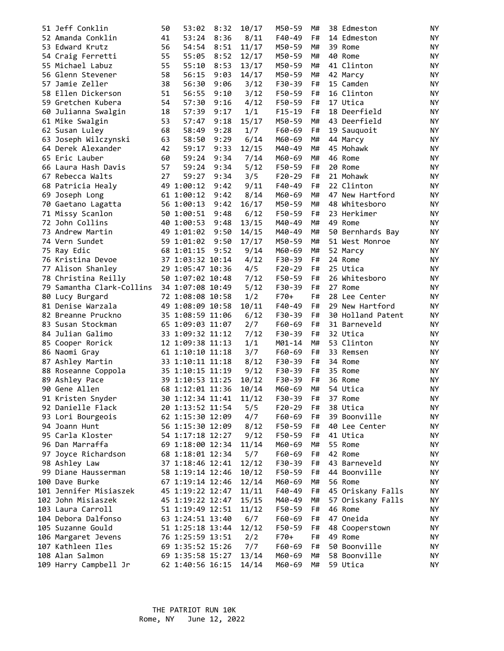| 51 Jeff Conklin           | 50 | 53:02                                | 8:32 | 10/17 | M50-59           | M#       | 38 Edmeston         | NY               |
|---------------------------|----|--------------------------------------|------|-------|------------------|----------|---------------------|------------------|
| 52 Amanda Conklin         | 41 | 53:24                                | 8:36 | 8/11  | F40-49           | F#       | 14 Edmeston         | NY               |
| 53 Edward Krutz           | 56 | 54:54                                | 8:51 | 11/17 | M50-59           | M#       | 39 Rome             | NY               |
| 54 Craig Ferretti         | 55 | 55:05                                | 8:52 | 12/17 | M50-59           | M#       | 40 Rome             | NY.              |
| 55 Michael Labuz          | 55 | 55:10                                | 8:53 | 13/17 | M50-59           | M#       | 41 Clinton          | NY.              |
| 56 Glenn Stevener         | 58 | 56:15                                | 9:03 | 14/17 | M50-59           | M#       | 42 Marcy            | NY.              |
| 57 Jamie Zeller           | 38 | 56:30                                | 9:06 | 3/12  | F30-39           | F#       | 15 Camden           | NY.              |
| 58 Ellen Dickerson        | 51 | 56:55                                | 9:10 | 3/12  | F50-59           | F#       | 16 Clinton          | NY.              |
| 59 Gretchen Kubera        | 54 | 57:30                                | 9:16 | 4/12  | F50-59           | F#       | 17 Utica            | NY.              |
| 60 Julianna Swalgin       | 18 | 57:39                                | 9:17 | 1/1   | $F15-19$         | F#       | 18 Deerfield        | NY.              |
| 61 Mike Swalgin           | 53 | 57:47                                | 9:18 | 15/17 | M50-59           | M#       | 43 Deerfield        | NY.              |
| 62 Susan Luley            | 68 | 58:49                                | 9:28 | 1/7   | F60-69           | F#       | 19 Sauquoit         | ΝY               |
| 63 Joseph Wilczynski      | 63 | 58:50                                | 9:29 | 6/14  | M60-69           | M#       | 44 Marcy            | NY.              |
| 64 Derek Alexander        | 42 | 59:17                                | 9:33 | 12/15 | M40-49           | M#       | 45 Mohawk           | NY.              |
| 65 Eric Lauber            | 60 | 59:24                                | 9:34 | 7/14  | M60-69           | M#       | 46 Rome             | NY.              |
| 66 Laura Hash Davis       | 57 | 59:24                                | 9:34 | 5/12  | F50-59           | F#       | 20 Rome             | NY               |
| 67 Rebecca Walts          | 27 | 59:27                                | 9:34 | 3/5   | $F20-29$         | F#       | 21 Mohawk           | NY               |
| 68 Patricia Healy         |    | 49 1:00:12                           | 9:42 | 9/11  | F40-49           | F#       | 22 Clinton          | NY.              |
| 69 Joseph Long            |    | 61 1:00:12                           | 9:42 | 8/14  | M60-69           | M#       | 47 New Hartford     | NY.              |
| 70 Gaetano Lagatta        |    | 56 1:00:13                           | 9:42 | 16/17 | M50-59           | M#       | 48 Whitesboro       | NY.              |
| 71 Missy Scanlon          |    | 50 1:00:51                           | 9:48 | 6/12  | F50-59           | F#       | 23 Herkimer         | NY.              |
| 72 John Collins           |    | 40 1:00:53                           | 9:48 | 13/15 | M40-49           | M#       | 49 Rome             | NY.              |
| 73 Andrew Martin          |    | 49 1:01:02                           | 9:50 | 14/15 | M40-49           | M#       | 50 Bernhards Bay    | ΝY               |
| 74 Vern Sundet            |    | 59 1:01:02                           | 9:50 | 17/17 | M50-59           | M#       | 51 West Monroe      | NY.              |
| 75 Ray Edic               |    | 68 1:01:15                           | 9:52 | 9/14  | M60-69           | M#       | 52 Marcy            | NY.              |
| 76 Kristina Devoe         |    | 37 1:03:32 10:14                     |      | 4/12  | F30-39           | F#       | 24 Rome             | <b>NY</b>        |
| 77 Alison Shanley         |    | 29 1:05:47 10:36                     |      | 4/5   | $F20-29$         | F#       | 25 Utica            | NY.              |
| 78 Christina Reilly       |    | 50 1:07:02 10:48                     |      | 7/12  | F50-59           | F#       | 26 Whitesboro       | <b>NY</b>        |
| 79 Samantha Clark-Collins |    | 34 1:07:08 10:49                     |      | 5/12  | F30-39           | F#       | 27 Rome             | NY.              |
| 80 Lucy Burgard           |    | 72 1:08:08 10:58                     |      | 1/2   | F70+             | F#       | 28 Lee Center       | ΝY               |
| 81 Denise Warzala         |    | 49 1:08:09 10:58                     |      | 10/11 | F40-49           | F#       | 29 New Hartford     | NY               |
| 82 Breanne Pruckno        |    | 35 1:08:59 11:06                     |      | 6/12  | F30-39           | F#       | 30 Holland Patent   | NY.              |
| 83 Susan Stockman         |    | 65 1:09:03 11:07                     |      | 2/7   | F60-69           | F#       | 31 Barneveld        | NY.              |
| 84 Julian Galimo          |    | 33 1:09:32 11:12                     |      | 7/12  | F30-39           | F#       | 32 Utica            | NY.              |
|                           |    | 12 1:09:38 11:13                     |      | 1/1   | M01-14           | M#       | 53 Clinton          | NY.              |
| 85 Cooper Rorick          |    |                                      |      |       | F60-69           | F#       | 33 Remsen           | <b>NY</b>        |
| 86 Naomi Gray             |    | 61 1:10:10 11:18<br>33 1:10:11 11:18 |      | 3/7   | F30-39           | F#       | 34 Rome             | NY.              |
| 87 Ashley Martin          |    |                                      |      | 8/12  |                  |          |                     |                  |
| 88 Roseanne Coppola       |    | 35 1:10:15 11:19                     |      | 9/12  | F30-39<br>F30-39 | F#       | 35 Rome             | ΝY               |
| 89 Ashley Pace            |    | 39 1:10:53 11:25                     |      | 10/12 |                  | F#<br>M# | 36 Rome<br>54 Utica | NY.<br><b>NY</b> |
| 90 Gene Allen             |    | 68 1:12:01 11:36                     |      | 10/14 | M60-69           |          |                     |                  |
| 91 Kristen Snyder         |    | 30 1:12:34 11:41                     |      | 11/12 | F30-39           | F#       | 37 Rome             | NY               |
| 92 Danielle Flack         |    | 20 1:13:52 11:54                     |      | 5/5   | $F20-29$         | F#       | 38 Utica            | ΝY               |
| 93 Lori Bourgeois         |    | 62 1:15:30 12:09                     |      | 4/7   | F60-69           | F#       | 39 Boonville        | NΥ               |
| 94 Joann Hunt             |    | 56 1:15:30 12:09                     |      | 8/12  | F50-59           | F#       | 40 Lee Center       | ΝY               |
| 95 Carla Kloster          |    | 54 1:17:18 12:27                     |      | 9/12  | F50-59           | F#       | 41 Utica            | NΥ               |
| 96 Dan Marraffa           |    | 69 1:18:00 12:34                     |      | 11/14 | M60-69           | M#       | 55 Rome             | ΝY               |
| 97 Joyce Richardson       |    | 68 1:18:01 12:34                     |      | 5/7   | F60-69           | F#       | 42 Rome             | NY               |
| 98 Ashley Law             |    | 37 1:18:46 12:41                     |      | 12/12 | F30-39           | F#       | 43 Barneveld        | ΝY               |
| 99 Diane Hausserman       |    | 58 1:19:14 12:46                     |      | 10/12 | F50-59           | F#       | 44 Boonville        | ΝY               |
| 100 Dave Burke            |    | 67 1:19:14 12:46                     |      | 12/14 | M60-69           | M#       | 56 Rome             | NY.              |
| 101 Jennifer Misiaszek    |    | 45 1:19:22 12:47                     |      | 11/11 | F40-49           | F#       | 45 Oriskany Falls   | ΝY               |
| 102 John Misiaszek        |    | 45 1:19:22 12:47                     |      | 15/15 | M40-49           | M#       | 57 Oriskany Falls   | ΝY               |
| 103 Laura Carroll         |    | 51 1:19:49 12:51                     |      | 11/12 | F50-59           | F#       | 46 Rome             | NΥ               |
| 104 Debora Dalfonso       |    | 63 1:24:51 13:40                     |      | 6/7   | F60-69           | F#       | 47 Oneida           | ΝY               |
| 105 Suzanne Gould         |    | 51 1:25:18 13:44                     |      | 12/12 | F50-59           | F#       | 48 Cooperstown      | ΝY               |
| 106 Margaret Jevens       |    | 76 1:25:59 13:51                     |      | 2/2   | F70+             | F#       | 49 Rome             | ΝY               |
| 107 Kathleen Iles         |    | 69 1:35:52 15:26                     |      | 7/7   | F60-69           | F#       | 50 Boonville        | NY               |
| 108 Alan Salmon           |    | 69 1:35:58 15:27                     |      | 13/14 | M60-69           | M#       | 58 Boonville        | NY               |
| 109 Harry Campbell Jr     |    | 62 1:40:56 16:15                     |      | 14/14 | M60-69           | M#       | 59 Utica            | NY               |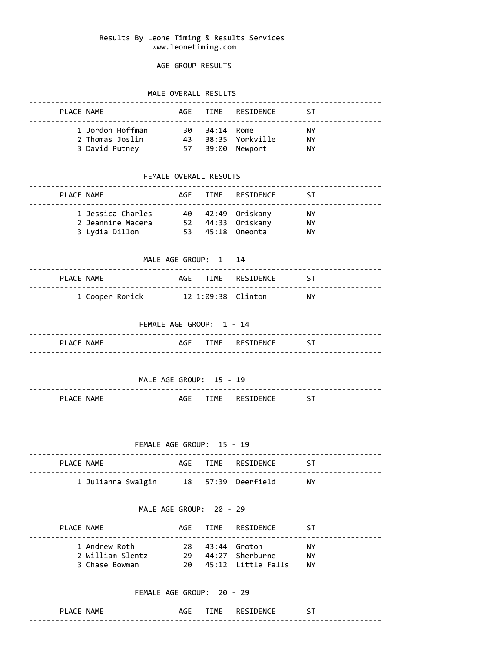### Results By Leone Timing & Results Services www.leonetiming.com

## AGE GROUP RESULTS

## MALE OVERALL RESULTS

|                           | PLACE NAME                                                                        |               |                          | AGE TIME RESIDENCE ST    |           |  |  |  |  |  |  |
|---------------------------|-----------------------------------------------------------------------------------|---------------|--------------------------|--------------------------|-----------|--|--|--|--|--|--|
|                           | 1 Jordon Hoffman 30 34:14 Rome                                                    |               |                          | <b>STATE STATE STATE</b> |           |  |  |  |  |  |  |
|                           | 2 Thomas Joslin 43 38:35 Yorkville NY                                             |               |                          |                          |           |  |  |  |  |  |  |
|                           | 3 David Putney 57 39:00 Newport NY                                                |               |                          |                          |           |  |  |  |  |  |  |
|                           |                                                                                   | ------------- | FEMALE OVERALL RESULTS   |                          |           |  |  |  |  |  |  |
| PLACE NAME                |                                                                                   |               |                          | AGE TIME RESIDENCE ST    |           |  |  |  |  |  |  |
|                           | 1 Jessica Charles 40 42:49 Oriskany NY                                            |               |                          |                          |           |  |  |  |  |  |  |
|                           | 2 Jeannine Macera 52 44:33 Oriskany NY<br>3 Lydia Dillon 53 45:18 Oneonta         |               |                          |                          | NY        |  |  |  |  |  |  |
|                           |                                                                                   |               |                          |                          |           |  |  |  |  |  |  |
| MALE AGE GROUP: 1 - 14    |                                                                                   |               |                          |                          |           |  |  |  |  |  |  |
|                           | PLACE NAME                                                                        |               |                          | AGE TIME RESIDENCE ST    |           |  |  |  |  |  |  |
|                           | 1 Cooper Rorick 12 1:09:38 Clinton NY                                             |               |                          |                          |           |  |  |  |  |  |  |
|                           |                                                                                   |               | FEMALE AGE GROUP: 1 - 14 |                          |           |  |  |  |  |  |  |
|                           | PLACE NAME                                                                        |               |                          | AGE TIME RESIDENCE ST    |           |  |  |  |  |  |  |
|                           |                                                                                   |               | MALE AGE GROUP: 15 - 19  |                          |           |  |  |  |  |  |  |
|                           | PLACE NAME                                                                        |               |                          | AGE TIME RESIDENCE ST    |           |  |  |  |  |  |  |
| FEMALE AGE GROUP: 15 - 19 |                                                                                   |               |                          |                          |           |  |  |  |  |  |  |
| PLACE NAME                | -----------------------------------                                               |               |                          | AGE TIME RESIDENCE       | <b>ST</b> |  |  |  |  |  |  |
|                           | 1 Julianna Swalgin 18 57:39 Deerfield NY                                          |               |                          |                          |           |  |  |  |  |  |  |
| MALE AGE GROUP: 20 - 29   |                                                                                   |               |                          |                          |           |  |  |  |  |  |  |
|                           | PLACE NAME                                                                        |               |                          | AGE TIME RESIDENCE ST    |           |  |  |  |  |  |  |
|                           | 1 Andrew Roth                                                                     |               |                          | 28 43:44 Groton NY       |           |  |  |  |  |  |  |
|                           | 2 William Slentz 29 44:27 Sherburne NY<br>3 Chase Bowman 20 45:12 Little Falls NY |               |                          |                          |           |  |  |  |  |  |  |
|                           |                                                                                   |               |                          |                          |           |  |  |  |  |  |  |
|                           | FEMALE AGE GROUP: 20 - 29                                                         |               |                          |                          |           |  |  |  |  |  |  |
|                           |                                                                                   |               |                          |                          |           |  |  |  |  |  |  |

PLACE NAME **AGE TIME** RESIDENCE ST

--------------------------------------------------------------------------------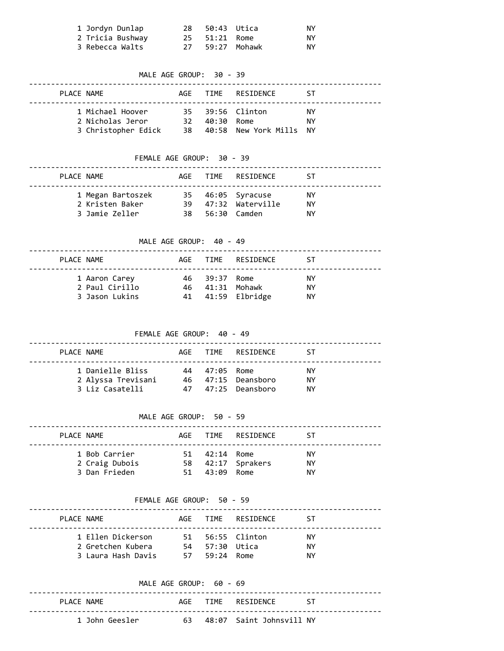| 1 Jordyn Dunlap  | 28 | 50:43 Utica         |              | NY. |
|------------------|----|---------------------|--------------|-----|
| 2 Tricia Bushway |    | 25    51:21    Rome |              | ΝY  |
| 3 Rebecca Walts  |    |                     | 59:27 Mohawk | ΝY  |

# MALE AGE GROUP: 30 - 39 -------------------------------------------------------------------------------- PLACE NAME AGE TIME RESIDENCE ST -------------------------------------------------------------------------------- 1 Michael Hoover 35 39:56 Clinton NY 2 Nicholas Jeror 32 40:30 Rome NY 3 Christopher Edick 38 40:58 New York Mills NY FEMALE AGE GROUP: 30 - 39 -------------------------------------------------------------------------------- PLACE NAME **AGE TIME** RESIDENCE ST -------------------------------------------------------------------------------- 1 Megan Bartoszek 35 46:05 Syracuse NY 2 Kristen Baker 39 47:32 Waterville NY 3 Jamie Zeller 38 56:30 Camden NY MALE AGE GROUP: 40 - 49 -------------------------------------------------------------------------------- PLACE NAME **AGE TIME** RESIDENCE ST -------------------------------------------------------------------------------- 1 Aaron Carey 46 39:37 Rome NY 2 Paul Cirillo 46 41:31 Mohawk NY 3 Jason Lukins 41 41:59 Elbridge NY FEMALE AGE GROUP: 40 - 49 -------------------------------------------------------------------------------- PLACE NAME **AGE TIME** RESIDENCE ST -------------------------------------------------------------------------------- 1 Danielle Bliss 44 47:05 Rome NY 2 Alyssa Trevisani 46 47:15 Deansboro NY 3 Liz Casatelli 47 47:25 Deansboro NY MALE AGE GROUP: 50 - 59 -------------------------------------------------------------------------------- PLACE NAME AGE TIME RESIDENCE ST -------------------------------------------------------------------------------- 1 Bob Carrier 51 42:14 Rome NY 2 Craig Dubois 58 42:17 Sprakers NY 3 Dan Frieden 51 43:09 Rome NY FEMALE AGE GROUP: 50 - 59 -------------------------------------------------------------------------------- PLACE NAME AGE TIME RESIDENCE ST -------------------------------------------------------------------------------- 1 Ellen Dickerson 51 56:55 Clinton NY 2 Gretchen Kubera 54 57:30 Utica NY

|            |                | MALF AGF GROUP: $60 - 69$ |  |                             |       |
|------------|----------------|---------------------------|--|-----------------------------|-------|
| PLACE NAME |                |                           |  | AGF TIME RESTDENCE          | - 5 S |
|            | 1 John Geesler |                           |  | 63 48:07 Saint Johnsvill NY |       |

3 Laura Hash Davis 57 59:24 Rome NY